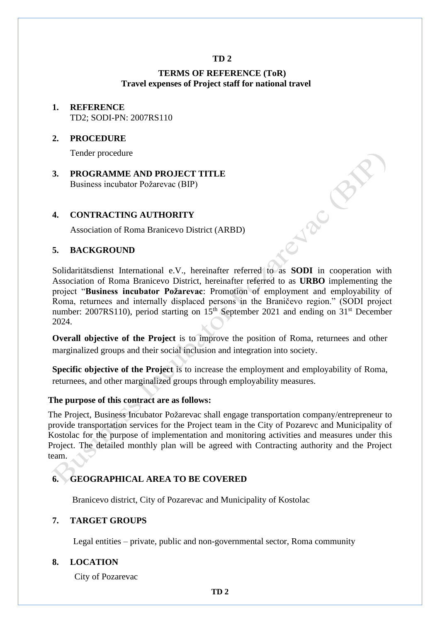### **TD 2**

## **TERMS OF REFERENCE (ToR) Travel expenses of Project staff for national travel**

### **1. REFERENCE** TD2; SODI-PN: 2007RS110

#### **2. PROCEDURE**

Tender procedure

**3. PROGRAMME AND PROJECT TITLE** Business incubator Požarevac (BIP) Solidaritätsdienst International e.V., hereinafter referred to as **SODI** in cooperation with

### **4. CONTRACTING AUTHORITY**

Association of Roma Branicevo District (ARBD)

### **5. BACKGROUND**

Association of Roma Branicevo District, hereinafter referred to as **URBO** implementing the project "**Business incubator Požarevac**: Promotion of employment and employability of Roma, returnees and internally displaced persons in the Braničevo region." (SODI project number: 2007RS110), period starting on  $15<sup>th</sup>$  September 2021 and ending on  $31<sup>st</sup>$  December 2024.

**Overall objective of the Project** is to improve the position of Roma, returnees and other marginalized groups and their social inclusion and integration into society.

**Specific objective of the Project** is to increase the employment and employability of Roma, returnees, and other marginalized groups through employability measures.

#### **The purpose of this contract are as follows:**

The Project, Business Incubator Požarevac shall engage transportation company/entrepreneur to provide transportation services for the Project team in the City of Pozarevc and Municipality of Kostolac for the purpose of implementation and monitoring activities and measures under this Project. The detailed monthly plan will be agreed with Contracting authority and the Project team.

### **6. GEOGRAPHICAL AREA TO BE COVERED**

Branicevo district, City of Pozarevac and Municipality of Kostolac

### **7. TARGET GROUPS**

Legal entities – private, public and non-governmental sector, Roma community

#### **8. LOCATION**

City of Pozarevac